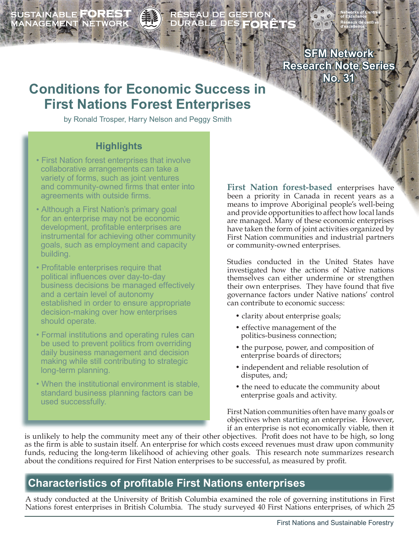**NABLE FORE** ANAGEMENT NETWORK

# RÉSEAU DE GESTION<br>DURABLE DES **FORÊT**

**SFM Network Research Note Series No. 31**

## **Conditions for Economic Success in First Nations Forest Enterprises**

by Ronald Trosper, Harry Nelson and Peggy Smith

#### **Highlights**

- First Nation forest enterprises that involve collaborative arrangements can take a variety of forms, such as joint ventures and community-owned firms that enter into agreements with outside firms.
- Although a First Nation's primary goal for an enterprise may not be economic development, profitable enterprises are instrumental for achieving other community goals, such as employment and capacity building.
- Profitable enterprises require that political influences over day-to-day business decisions be managed effectively and a certain level of autonomy established in order to ensure appropriate decision-making over how enterprises should operate.
- Formal institutions and operating rules can be used to prevent politics from overriding daily business management and decision making while still contributing to strategic long-term planning.
- When the institutional environment is stable, standard business planning factors can be used successfully.

**First Nation forest-based** enterprises have been a priority in Canada in recent years as a means to improve Aboriginal people's well-being and provide opportunities to affect how local lands are managed. Many of these economic enterprises have taken the form of joint activities organized by First Nation communities and industrial partners or community-owned enterprises.

Studies conducted in the United States have investigated how the actions of Native nations themselves can either undermine or strengthen their own enterprises. They have found that five governance factors under Native nations' control can contribute to economic success:

- clarity about enterprise goals;
- effective management of the politics-business connection;
- the purpose, power, and composition of enterprise boards of directors;
- independent and reliable resolution of disputes, and;
- the need to educate the community about enterprise goals and activity.

First Nation communities often have many goals or objectives when starting an enterprise. However, if an enterprise is not economically viable, then it

is unlikely to help the community meet any of their other objectives. Profit does not have to be high, so long as the firm is able to sustain itself. An enterprise for which costs exceed revenues must draw upon community funds, reducing the long-term likelihood of achieving other goals. This research note summarizes research about the conditions required for First Nation enterprises to be successful, as measured by profit.

### **Characteristics of profitable First Nations enterprises**

A study conducted at the University of British Columbia examined the role of governing institutions in First Nations forest enterprises in British Columbia. The study surveyed 40 First Nations enterprises, of which 25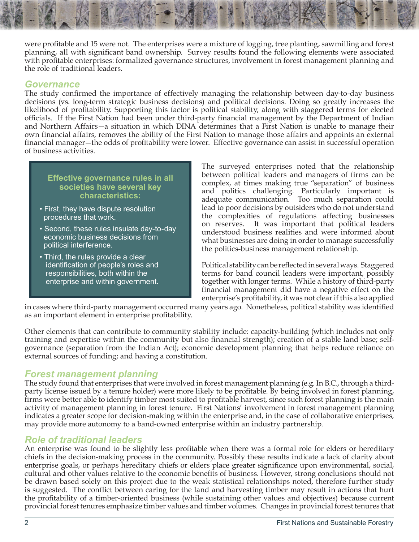were profitable and 15 were not. The enterprises were a mixture of logging, tree planting, sawmilling and forest planning, all with significant band ownership. Survey results found the following elements were associated with profitable enterprises: formalized governance structures, involvement in forest management planning and the role of traditional leaders.

#### *Governance*

The study confirmed the importance of effectively managing the relationship between day-to-day business decisions (vs. long-term strategic business decisions) and political decisions. Doing so greatly increases the likelihood of profitability. Supporting this factor is political stability, along with staggered terms for elected officials. If the First Nation had been under third-party financial management by the Department of Indian and Northern Affairs—a situation in which DINA determines that a First Nation is unable to manage their own financial affairs, removes the ability of the First Nation to manage those affairs and appoints an external financial manager—the odds of profitability were lower. Effective governance can assist in successful operation of business activities.

#### **Effective governance rules in all societies have several key characteristics:**

- First, they have dispute resolution procedures that work.
- Second, these rules insulate day-to-day economic business decisions from political interference.
- Third, the rules provide a clear identification of people's roles and responsibilities, both within the enterprise and within government.

The surveyed enterprises noted that the relationship between political leaders and managers of firms can be complex, at times making true "separation" of business and politics challenging. Particularly important is adequate communication. Too much separation could lead to poor decisions by outsiders who do not understand the complexities of regulations affecting businesses on reserves. It was important that political leaders understood business realities and were informed about what businesses are doing in order to manage successfully the politics-business management relationship.

Political stability can be reflected in several ways. Staggered terms for band council leaders were important, possibly together with longer terms. While a history of third-party financial management did have a negative effect on the enterprise's profitability, it was not clear if this also applied

in cases where third-party management occurred many years ago. Nonetheless, political stability was identified as an important element in enterprise profitability.

Other elements that can contribute to community stability include: capacity-building (which includes not only training and expertise within the community but also financial strength); creation of a stable land base; selfgovernance (separation from the Indian Act); economic development planning that helps reduce reliance on external sources of funding; and having a constitution.

#### *Forest management planning*

The study found that enterprises that were involved in forest management planning (e.g. In B.C., through a thirdparty license issued by a tenure holder) were more likely to be profitable. By being involved in forest planning, firms were better able to identify timber most suited to profitable harvest, since such forest planning is the main activity of management planning in forest tenure. First Nations' involvement in forest management planning indicates a greater scope for decision-making within the enterprise and, in the case of collaborative enterprises, may provide more autonomy to a band-owned enterprise within an industry partnership.

#### *Role of traditional leaders*

An enterprise was found to be slightly less profitable when there was a formal role for elders or hereditary chiefs in the decision-making process in the community. Possibly these results indicate a lack of clarity about enterprise goals, or perhaps hereditary chiefs or elders place greater significance upon environmental, social, cultural and other values relative to the economic benefits of business. However, strong conclusions should not be drawn based solely on this project due to the weak statistical relationships noted, therefore further study is suggested. The conflict between caring for the land and harvesting timber may result in actions that hurt the profitability of a timber-oriented business (while sustaining other values and objectives) because current provincial forest tenures emphasize timber values and timber volumes. Changes in provincial forest tenures that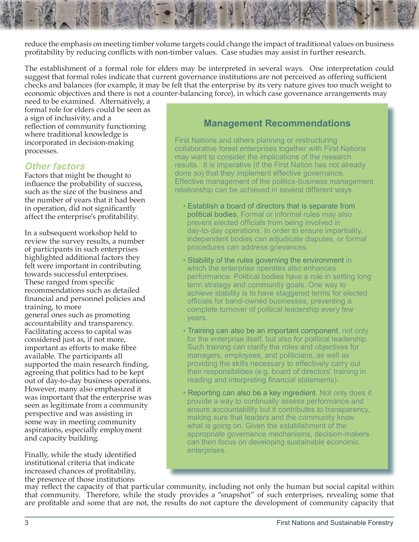reduce the emphasis on meeting timber volume targets could change the impact of traditional values on business profitability by reducing conflicts with non-timber values. Case studies may assist in further research.

The establishment of a formal role for elders may be interpreted in several ways. One interpretation could suggest that formal roles indicate that current governance institutions are not perceived as offering sufficient checks and balances (for example, it may be felt that the enterprise by its very nature gives too much weight to economic objectives and there is not a counter-balancing force), in which case governance arrangements may

need to be examined. Alternatively, a formal role for elders could be seen as a sign of inclusivity, and a reflection of community functioning where traditional knowledge is incorporated in decision-making processes.

**Other factors**<br>Factors that might be thought to influence the probability of success, such as the size of the business and the number of years that it had been in operation, did not significantly affect the enterprise's profitability.

In a subsequent workshop held to review the survey results, a number of participants in such enterprises highlighted additional factors they felt were important in contributing towards successful enterprises. These ranged from specific recommendations such as detailed financial and personnel policies and training, to more general ones such as promoting accountability and transparency. Facilitating access to capital was considered just as, if not more, important as efforts to make fibre available. The participants all supported the main research finding, agreeing that politics had to be kept out of day-to-day business operations. However, many also emphasized it was important that the enterprise was seen as legitimate from a community perspective and was assisting in some way in meeting community aspirations, especially employment and capacity building.

Finally, while the study identified institutional criteria that indicate increased chances of profitability, the presence of those institutions

#### **Management Recommendations**

First Nations and others planning or restructuring collaborative forest enterprises together with First Nations may want to consider the implications of the research results. It is imperative (if the First Nation has not already done so) that they implement effective governance. Effective management of the politics-business management relationship can be achieved in several different ways.

- Establish a board of directors that is separate from political bodies. Formal or informal rules may also prevent elected officials from being involved in day-to-day operations. In order to ensure impartiality, independent bodies can adjudicate disputes, or formal procedures can address grievances.
- Stability of the rules governing the environment in which the enterprise operates also enhances performance. Political bodies have a role in setting long term strategy and community goals. One way to achieve stability is to have staggered terms for elected officials for band-owned businesses, preventing a complete turnover of political leadership every few years.
- Training can also be an important component, not only for the enterprise itself, but also for political leadership. Such training can clarify the roles and objectives for managers, employees, and politicians, as well as providing the skills necessary to effectively carry out their responsibilities (e.g. board of directors' training in reading and interpreting financial statements).
- Reporting can also be a key ingredient. Not only does it provide a way to continually assess performance and ensure accountability but it contributes to transparency, making sure that leaders and the community know what is going on. Given the establishment of the appropriate governance mechanisms, decision-makers can then focus on developing sustainable economic enterprises.

may reflect the capacity of that particular community, including not only the human but social capital within that community. Therefore, while the study provides a "snapshot" of such enterprises, revealing some that are profitable and some that are not, the results do not capture the development of community capacity that